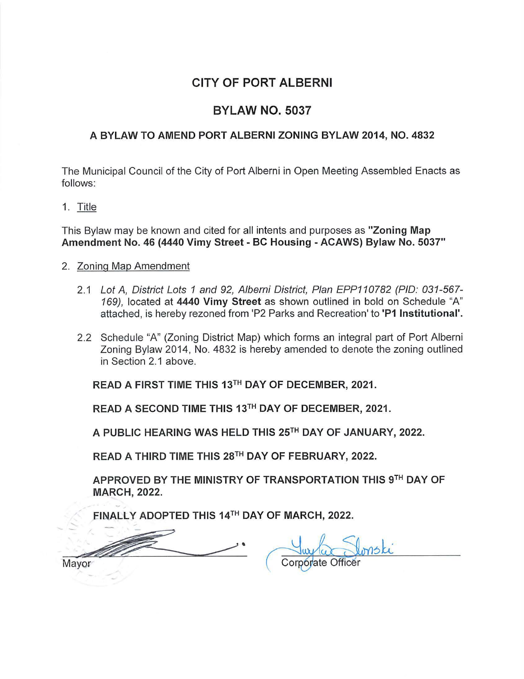## **CITY OF PORT ALBERNI**

## **BYLAW NO. 5037**

## **A BYLAW TO AMEND PORT ALBERNI ZONING BYLAW 2014, NO. 4832**

The Municipal Council of the City of Port Alberni in Open Meeting Assembled Enacts as follows:

1. Title

This Bylaw may be known and cited for all intents and purposes as **"Zoning Map Amendment No. 46 (4440 Vimy Street** - **BC Housing** - **ACAWS) Bylaw No. 5037"** 

## 2. Zoning Map Amendment

- 2.1 Lot A, District Lots 1 and 92, Alberni District, Plan EPP110782 (PIO: 031-567- 169), located at **4440 Vimy Street** as shown outlined in bold on Schedule "A" attached, is hereby rezoned from 'P2 Parks and Recreation' to **'P1 Institutional'.**
- 2.2 Schedule "A" (Zoning District Map) which forms an integral part of Port Alberni Zoning Bylaw 2014, No. 4832 is hereby amended to denote the zoning outlined in Section 2.1 above.

READ A FIRST TIME THIS 13TH DAY OF DECEMBER, 2021.

READ A SECOND TIME THIS 13TH DAY OF DECEMBER, 2021.

A PUBLIC HEARING WAS HELD THIS 25TH DAY OF JANUARY, 2022.

READ A THIRD TIME THIS 28TH DAY OF FEBRUARY, 2022.

APPROVED BY THE MINISTRY OF TRANSPORTATION THIS 9TH DAY OF MARCH, 2022.

EINALLY ADOPTED THIS 14TH DAY OF MARCH, 2022.

Mayor